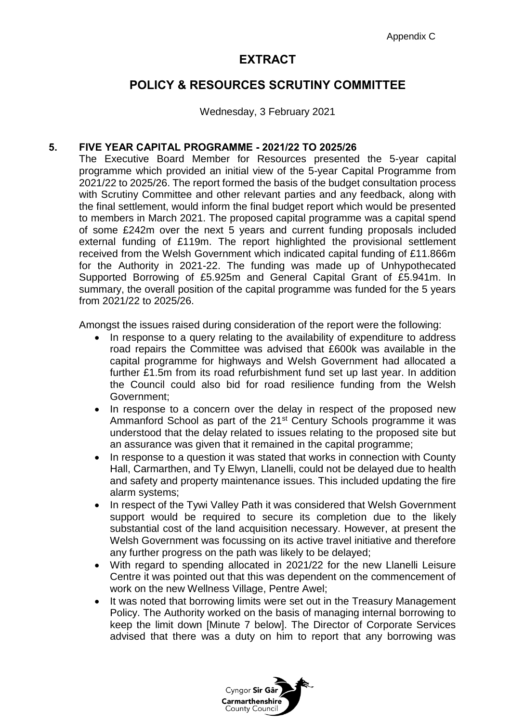## **EXTRACT**

## **POLICY & RESOURCES SCRUTINY COMMITTEE**

Wednesday, 3 February 2021

## **5. FIVE YEAR CAPITAL PROGRAMME - 2021/22 TO 2025/26**

The Executive Board Member for Resources presented the 5-year capital programme which provided an initial view of the 5-year Capital Programme from 2021/22 to 2025/26. The report formed the basis of the budget consultation process with Scrutiny Committee and other relevant parties and any feedback, along with the final settlement, would inform the final budget report which would be presented to members in March 2021. The proposed capital programme was a capital spend of some £242m over the next 5 years and current funding proposals included external funding of £119m. The report highlighted the provisional settlement received from the Welsh Government which indicated capital funding of £11.866m for the Authority in 2021-22. The funding was made up of Unhypothecated Supported Borrowing of £5.925m and General Capital Grant of £5.941m. In summary, the overall position of the capital programme was funded for the 5 years from 2021/22 to 2025/26.

Amongst the issues raised during consideration of the report were the following:

- In response to a query relating to the availability of expenditure to address road repairs the Committee was advised that £600k was available in the capital programme for highways and Welsh Government had allocated a further £1.5m from its road refurbishment fund set up last year. In addition the Council could also bid for road resilience funding from the Welsh Government;
- In response to a concern over the delay in respect of the proposed new Ammanford School as part of the 21<sup>st</sup> Century Schools programme it was understood that the delay related to issues relating to the proposed site but an assurance was given that it remained in the capital programme;
- In response to a question it was stated that works in connection with County Hall, Carmarthen, and Ty Elwyn, Llanelli, could not be delayed due to health and safety and property maintenance issues. This included updating the fire alarm systems;
- In respect of the Tywi Valley Path it was considered that Welsh Government support would be required to secure its completion due to the likely substantial cost of the land acquisition necessary. However, at present the Welsh Government was focussing on its active travel initiative and therefore any further progress on the path was likely to be delayed;
- With regard to spending allocated in 2021/22 for the new Llanelli Leisure Centre it was pointed out that this was dependent on the commencement of work on the new Wellness Village, Pentre Awel;
- It was noted that borrowing limits were set out in the Treasury Management Policy. The Authority worked on the basis of managing internal borrowing to keep the limit down [Minute 7 below]. The Director of Corporate Services advised that there was a duty on him to report that any borrowing was